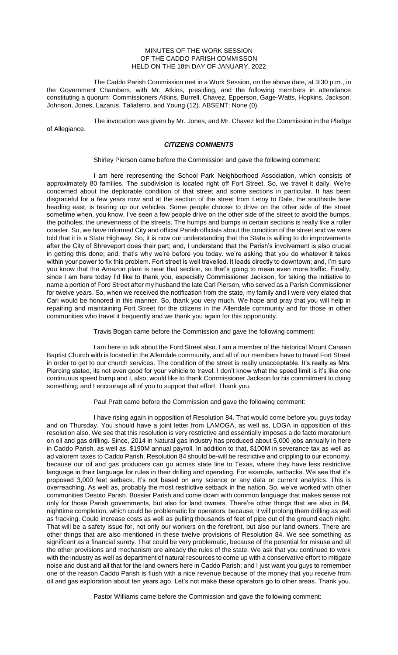#### MINUTES OF THE WORK SESSION OF THE CADDO PARISH COMMISSON HELD ON THE 18th DAY OF JANUARY, 2022

The Caddo Parish Commission met in a Work Session, on the above date, at 3:30 p.m., in the Government Chambers, with Mr. Atkins, presiding, and the following members in attendance constituting a quorum: Commissioners Atkins, Burrell, Chavez, Epperson, Gage-Watts, Hopkins, Jackson, Johnson, Jones, Lazarus, Taliaferro, and Young (12). ABSENT: None (0).

The invocation was given by Mr. Jones, and Mr. Chavez led the Commission in the Pledge of Allegiance.

## *CITIZENS COMMENTS*

Shirley Pierson came before the Commission and gave the following comment:

I am here representing the School Park Neighborhood Association, which consists of approximately 80 families. The subdivision is located right off Fort Street. So, we travel it daily. We're concerned about the deplorable condition of that street and some sections in particular. It has been disgraceful for a few years now and at the section of the street from Leroy to Dale, the southside lane heading east, is tearing up our vehicles. Some people choose to drive on the other side of the street sometime when, you know, I've seen a few people drive on the other side of the street to avoid the bumps, the potholes, the unevenness of the streets. The humps and bumps in certain sections is really like a roller coaster. So, we have informed City and official Parish officials about the condition of the street and we were told that it is a State Highway. So, it is now our understanding that the State is willing to do improvements after the City of Shreveport does their part; and, I understand that the Parish's involvement is also crucial in getting this done; and, that's why we're before you today. we're asking that you do whatever it takes within your power to fix this problem. Fort street is well travelled. It leads directly to downtown; and, I'm sure you know that the Amazon plant is near that section, so that's going to mean even more traffic. Finally, since I am here today I'd like to thank you, especially Commissioner Jackson, for taking the initiative to name a portion of Ford Street after my husband the late Carl Pierson, who served as a Parish Commissioner for twelve years. So, when we received the notification from the state, my family and I were very elated that Carl would be honored in this manner. So, thank you very much. We hope and pray that you will help in repairing and maintaining Fort Street for the citizens in the Allendale community and for those in other communities who travel it frequently and we thank you again for this opportunity.

Travis Bogan came before the Commission and gave the following comment:

I am here to talk about the Ford Street also. I am a member of the historical Mount Canaan Baptist Church with is located in the Allendale community, and all of our members have to travel Fort Street in order to get to our church services. The condition of the street is really unacceptable. It's really as Mrs. Piercing stated, its not even good for your vehicle to travel. I don't know what the speed limit is it's like one continuous speed bump and I, also, would like to thank Commissioner Jackson for his commitment to doing something; and I encourage all of you to support that effort. Thank you.

Paul Pratt came before the Commission and gave the following comment:

I have rising again in opposition of Resolution 84. That would come before you guys today and on Thursday. You should have a joint letter from LAMOGA, as well as, LOGA in opposition of this resolution also. We see that this resolution is very restrictive and essentially imposes a de facto moratorium on oil and gas drilling. Since, 2014 in Natural gas industry has produced about 5,000 jobs annually in here in Caddo Parish, as well as, \$190M annual payroll. In addition to that, \$100M in severance tax as well as ad valorem taxes to Caddo Parish. Resolution 84 should be-will be restrictive and crippling to our economy, because our oil and gas producers can go across state line to Texas, where they have less restrictive language in their language for rules in their drilling and operating. For example, setbacks. We see that it's proposed 3,000 feet setback. It's not based on any science or any data or current analytics. This is overreaching. As well as, probably the most restrictive setback in the nation. So, we've worked with other communities Desoto Parish, Bossier Parish and come down with common language that makes sense not only for those Parish governments, but also for land owners. There're other things that are also in 84, nighttime completion, which could be problematic for operators; because, it will prolong them drilling as well as fracking. Could increase costs as well as pulling thousands of feet of pipe out of the ground each night. That will be a safety issue for, not only our workers on the forefront, but also our land owners. There are other things that are also mentioned in these twelve provisions of Resolution 84. We see something as significant as a financial surety. That could be very problematic, because of the potential for misuse and all the other provisions and mechanism are already the rules of the state. We ask that you continued to work with the industry as well as department of natural resources to come up with a conservative effort to mitigate noise and dust and all that for the land owners here in Caddo Parish; and I just want you guys to remember one of the reason Caddo Parish is flush with a nice revenue because of the money that you receive from oil and gas exploration about ten years ago. Let's not make these operators go to other areas. Thank you.

Pastor Williams came before the Commission and gave the following comment: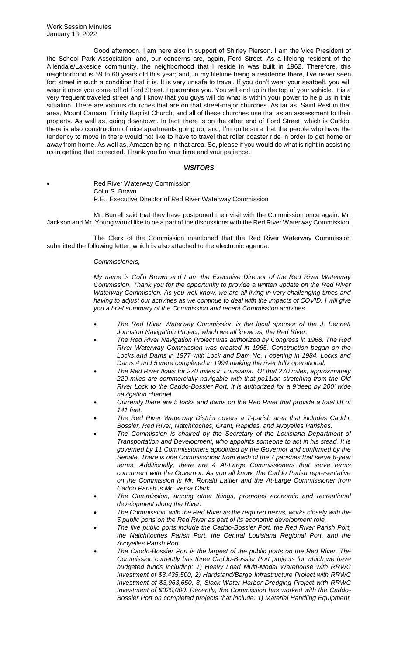Good afternoon. I am here also in support of Shirley Pierson. I am the Vice President of the School Park Association; and, our concerns are, again, Ford Street. As a lifelong resident of the Allendale/Lakeside community, the neighborhood that I reside in was built in 1962. Therefore, this neighborhood is 59 to 60 years old this year; and, in my lifetime being a residence there, I've never seen fort street in such a condition that it is. It is very unsafe to travel. If you don't wear your seatbelt, you will wear it once you come off of Ford Street. I guarantee you. You will end up in the top of your vehicle. It is a very frequent traveled street and I know that you guys will do what is within your power to help us in this situation. There are various churches that are on that street-major churches. As far as, Saint Rest in that area, Mount Canaan, Trinity Baptist Church, and all of these churches use that as an assessment to their property. As well as, going downtown. In fact, there is on the other end of Ford Street, which is Caddo, there is also construction of nice apartments going up; and, I'm quite sure that the people who have the tendency to move in there would not like to have to travel that roller coaster ride in order to get home or away from home. As well as, Amazon being in that area. So, please if you would do what is right in assisting us in getting that corrected. Thank you for your time and your patience.

## *VISITORS*

**Red River Waterway Commission** Colin S. Brown P.E., Executive Director of Red River Waterway Commission

Mr. Burrell said that they have postponed their visit with the Commission once again. Mr. Jackson and Mr. Young would like to be a part of the discussions with the Red River Waterway Commission.

The Clerk of the Commission mentioned that the Red River Waterway Commission submitted the following letter, which is also attached to the electronic agenda:

## *Commissioners,*

*My name is Colin Brown and I am the Executive Director of the Red River Waterway Commission. Thank you for the opportunity to provide a written update on the Red River Waterway Commission. As you well know, we are all living in very challenging times and having to adjust our activities as we continue to deal with the impacts of COVID. I will give you a brief summary of the Commission and recent Commission activities.*

- *The Red River Waterway Commission is the local sponsor of the J. Bennett Johnston Navigation Project, which we all know as, the Red River.*
- *The Red River Navigation Project was authorized by Congress in 1968. The Red River Waterway Commission was created in 1965. Construction began on the*  Locks and Dams in 1977 with Lock and Dam No. I opening in 1984. Locks and *Dams 4 and 5 were completed in 1994 making the river fully operational.*
- *The Red River flows for 270 miles in Louisiana. Of that 270 miles, approximately 220 miles are commercially navigable with that po11ion stretching from the Old River Lock to the Caddo-Bossier Port. It is authorized for a 9'deep by 200' wide navigation channel.*
- *Currently there are 5 locks and dams on the Red River that provide a total lift of 141 feet.*
- *The Red River Waterway District covers a 7-parish area that includes Caddo, Bossier, Red River, Natchitoches, Grant, Rapides, and Avoyelles Parishes.*
- *The Commission is chaired by the Secretary of the Louisiana Department of Transportation and Development, who appoints someone to act in his stead. It is governed by 11 Commissioners appointed by the Governor and confirmed by the Senate. There is one Commissioner from each of the 7 parishes that serve 6-year terms. Additionally, there are 4 At-Large Commissioners that serve terms concurrent with the Governor. As you all know, the Caddo Parish representative on the Commission is Mr. Ronald Lattier and the At-Large Commissioner from Caddo Parish is Mr. Versa Clark.*
- *The Commission, among other things, promotes economic and recreational development along the River.*
- *The Commission, with the Red River as the required nexus, works closely with the 5 public ports on the Red River as part of its economic development role.*
- *The five public ports include the Caddo-Bossier Port, the Red River Parish Port, the Natchitoches Parish Port, the Central Louisiana Regional Port, and the Avoyelles Parish Port.*
- *The Caddo-Bossier Port is the largest of the public ports on the Red River. The Commission currently has three Caddo-Bossier Port projects for which we have budgeted funds including: 1) Heavy Load Multi-Modal Warehouse with RRWC Investment of \$3,435,500, 2) Hardstand/Barge Infrastructure Project with RRWC Investment of \$3,963,650, 3) Slack Water Harbor Dredging Project with RRWC Investment of \$320,000. Recently, the Commission has worked with the Caddo-Bossier Port on completed projects that include: 1) Material Handling Equipment,*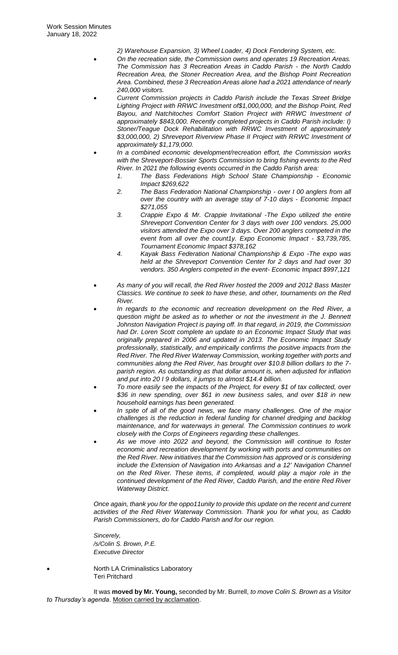*2) Warehouse Expansion, 3) Wheel Loader, 4) Dock Fendering System, etc.*

- *On the recreation side, the Commission owns and operates 19 Recreation Areas. The Commission has 3 Recreation Areas in Caddo Parish - the North Caddo Recreation Area, the Stoner Recreation Area, and the Bishop Point Recreation Area. Combined, these 3 Recreation Areas alone had a 2021 attendance of nearly 240,000 visitors.*
- *Current Commission projects in Caddo Parish include the Texas Street Bridge Lighting Project with RRWC Investment of\$1,000,000, and the Bishop Point, Red Bayou, and Natchitoches Comfort Station Project with RRWC Investment of approximately \$843,000. Recently completed projects in Caddo Parish include: I) Stoner/Teague Dock Rehabilitation with RRWC Investment of approximately \$3,000,000, 2) Shreveport Riverview Phase II Project with RRWC Investment of approximately \$1,179,000.*
- *In a combined economic development/recreation effort, the Commission works with the Shreveport-Bossier Sports Commission to bring fishing events to the Red River. In 2021 the following events occurred in the Caddo Parish area:*
	- *1. The Bass Federations High School State Championship - Economic Impact \$269,622*
	- *2. The Bass Federation National Championship - over I 00 anglers from all over the country with an average stay of 7-10 days - Economic Impact \$271,055*
	- *3. Crappie Expo & Mr. Crappie Invitational -The Expo utilized the entire Shreveport Convention Center for 3 days with over 100 vendors. 25,000 visitors attended the Expo over 3 days. Over 200 anglers competed in the event from all over the count1y. Expo Economic Impact - \$3,739,785, Tournament Economic Impact \$378,162*
	- *4. Kayak Bass Federation National Championship & Expo -The expo was held at the Shreveport Convention Center for 2 days and had over 30 vendors. 350 Anglers competed in the event- Economic Impact \$997,121*
- *As many of you will recall, the Red River hosted the 2009 and 2012 Bass Master Classics. We continue to seek to have these, and other, tournaments on the Red River.*
- *In regards to the economic and recreation development on the Red River, a question might be asked as to whether or not the investment in the J. Bennett Johnston Navigation Project is paying off. In that regard, in 2019, the Commission had Dr. Loren Scott complete an update to an Economic Impact Study that was originally prepared in 2006 and updated in 2013. The Economic Impact Study professionally, statistically, and empirically confirms the positive impacts from the Red River. The Red River Waterway Commission, working together with ports and communities along the Red River, has brought over \$10.8 billion dollars to the 7 parish region. As outstanding as that dollar amount is, when adjusted for inflation and put into 20 I 9 dollars, it jumps to almost \$14.4 billion.*
- *To more easily see the impacts of the Project, for every \$1 of tax collected, over \$36 in new spending, over \$61 in new business sales, and over \$18 in new household earnings has been generated.*
- *In spite of all of the good news, we face many challenges. One of the major challenges is the reduction in federal funding for channel dredging and backlog maintenance, and for waterways in general. The Commission continues to work closely with the Corps of Engineers regarding these challenges.*
- *As we move into 2022 and beyond, the Commission will continue to foster economic and recreation development by working with ports and communities on the Red River. New initiatives that the Commission has approved or is considering include the Extension of Navigation into Arkansas and a 12' Navigation Channel on the Red River. These items, if completed, would play a major role in the continued development of the Red River, Caddo Parish, and the entire Red River Waterway District.*

*Once again, thank you for the oppo11unity to provide this update on the recent and current activities of the Red River Waterway Commission. Thank you for what you, as Caddo Parish Commissioners, do for Caddo Parish and for our region.*

*Sincerely, /s/Colin S. Brown, P.E. Executive Director*

• North LA Criminalistics Laboratory Teri Pritchard

It was **moved by Mr. Young,** seconded by Mr. Burrell, *to move Colin S. Brown as a Visitor to Thursday's agenda.* Motion carried by acclamation.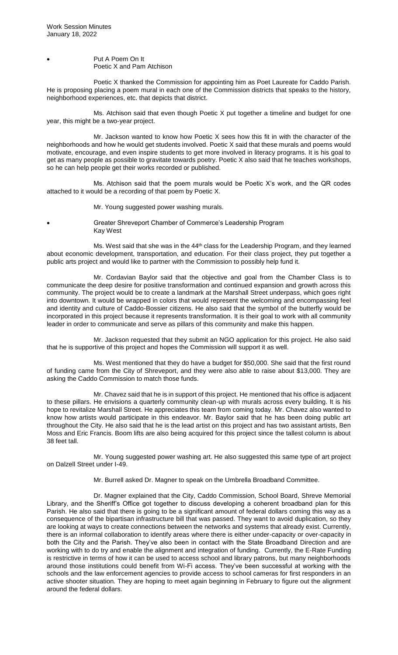Put A Poem On It Poetic X and Pam Atchison

Poetic X thanked the Commission for appointing him as Poet Laureate for Caddo Parish. He is proposing placing a poem mural in each one of the Commission districts that speaks to the history, neighborhood experiences, etc. that depicts that district.

Ms. Atchison said that even though Poetic X put together a timeline and budget for one year, this might be a two-year project.

Mr. Jackson wanted to know how Poetic X sees how this fit in with the character of the neighborhoods and how he would get students involved. Poetic X said that these murals and poems would motivate, encourage, and even inspire students to get more involved in literacy programs. It is his goal to get as many people as possible to gravitate towards poetry. Poetic X also said that he teaches workshops, so he can help people get their works recorded or published.

Ms. Atchison said that the poem murals would be Poetic X's work, and the QR codes attached to it would be a recording of that poem by Poetic X.

Mr. Young suggested power washing murals.

• Greater Shreveport Chamber of Commerce's Leadership Program Kay West

Ms. West said that she was in the 44<sup>th</sup> class for the Leadership Program, and they learned about economic development, transportation, and education. For their class project, they put together a public arts project and would like to partner with the Commission to possibly help fund it.

Mr. Cordavian Baylor said that the objective and goal from the Chamber Class is to communicate the deep desire for positive transformation and continued expansion and growth across this community. The project would be to create a landmark at the Marshall Street underpass, which goes right into downtown. It would be wrapped in colors that would represent the welcoming and encompassing feel and identity and culture of Caddo-Bossier citizens. He also said that the symbol of the butterfly would be incorporated in this project because it represents transformation. It is their goal to work with all community leader in order to communicate and serve as pillars of this community and make this happen.

Mr. Jackson requested that they submit an NGO application for this project. He also said that he is supportive of this project and hopes the Commission will support it as well.

Ms. West mentioned that they do have a budget for \$50,000. She said that the first round of funding came from the City of Shreveport, and they were also able to raise about \$13,000. They are asking the Caddo Commission to match those funds.

Mr. Chavez said that he is in support of this project. He mentioned that his office is adjacent to these pillars. He envisions a quarterly community clean-up with murals across every building. It is his hope to revitalize Marshall Street. He appreciates this team from coming today. Mr. Chavez also wanted to know how artists would participate in this endeavor. Mr. Baylor said that he has been doing public art throughout the City. He also said that he is the lead artist on this project and has two assistant artists, Ben Moss and Eric Francis. Boom lifts are also being acquired for this project since the tallest column is about 38 feet tall.

Mr. Young suggested power washing art. He also suggested this same type of art project on Dalzell Street under I-49.

Mr. Burrell asked Dr. Magner to speak on the Umbrella Broadband Committee.

Dr. Magner explained that the City, Caddo Commission, School Board, Shreve Memorial Library, and the Sheriff's Office got together to discuss developing a coherent broadband plan for this Parish. He also said that there is going to be a significant amount of federal dollars coming this way as a consequence of the bipartisan infrastructure bill that was passed. They want to avoid duplication, so they are looking at ways to create connections between the networks and systems that already exist. Currently, there is an informal collaboration to identify areas where there is either under-capacity or over-capacity in both the City and the Parish. They've also been in contact with the State Broadband Direction and are working with to do try and enable the alignment and integration of funding. Currently, the E-Rate Funding is restrictive in terms of how it can be used to access school and library patrons, but many neighborhoods around those institutions could benefit from Wi-Fi access. They've been successful at working with the schools and the law enforcement agencies to provide access to school cameras for first responders in an active shooter situation. They are hoping to meet again beginning in February to figure out the alignment around the federal dollars.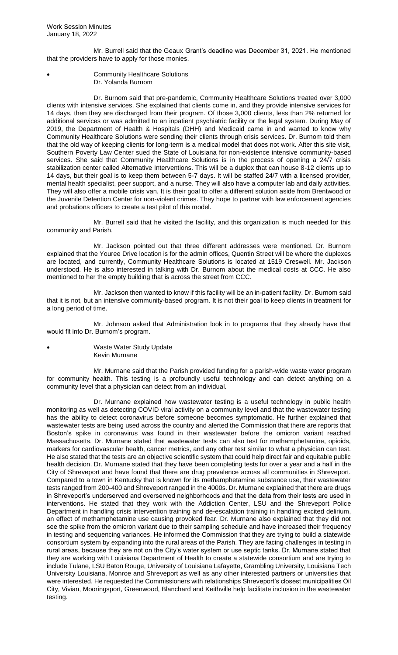Mr. Burrell said that the Geaux Grant's deadline was December 31, 2021. He mentioned that the providers have to apply for those monies.

• Community Healthcare Solutions Dr. Yolanda Burnom

Dr. Burnom said that pre-pandemic, Community Healthcare Solutions treated over 3,000 clients with intensive services. She explained that clients come in, and they provide intensive services for 14 days, then they are discharged from their program. Of those 3,000 clients, less than 2% returned for additional services or was admitted to an inpatient psychiatric facility or the legal system. During May of 2019, the Department of Health & Hospitals (DHH) and Medicaid came in and wanted to know why Community Healthcare Solutions were sending their clients through crisis services. Dr. Burnom told them that the old way of keeping clients for long-term is a medical model that does not work. After this site visit, Southern Poverty Law Center sued the State of Louisiana for non-existence intensive community-based services. She said that Community Healthcare Solutions is in the process of opening a 24/7 crisis stabilization center called Alternative Interventions. This will be a duplex that can house 8-12 clients up to 14 days, but their goal is to keep them between 5-7 days. It will be staffed 24/7 with a licensed provider, mental health specialist, peer support, and a nurse. They will also have a computer lab and daily activities. They will also offer a mobile crisis van. It is their goal to offer a different solution aside from Brentwood or the Juvenile Detention Center for non-violent crimes. They hope to partner with law enforcement agencies and probations officers to create a test pilot of this model.

Mr. Burrell said that he visited the facility, and this organization is much needed for this community and Parish.

Mr. Jackson pointed out that three different addresses were mentioned. Dr. Burnom explained that the Youree Drive location is for the admin offices, Quentin Street will be where the duplexes are located, and currently, Community Healthcare Solutions is located at 1519 Creswell. Mr. Jackson understood. He is also interested in talking with Dr. Burnom about the medical costs at CCC. He also mentioned to her the empty building that is across the street from CCC.

Mr. Jackson then wanted to know if this facility will be an in-patient facility. Dr. Burnom said that it is not, but an intensive community-based program. It is not their goal to keep clients in treatment for a long period of time.

Mr. Johnson asked that Administration look in to programs that they already have that would fit into Dr. Burnom's program.

• Waste Water Study Update Kevin Murnane

Mr. Murnane said that the Parish provided funding for a parish-wide waste water program for community health. This testing is a profoundly useful technology and can detect anything on a community level that a physician can detect from an individual.

Dr. Murnane explained how wastewater testing is a useful technology in public health monitoring as well as detecting COVID viral activity on a community level and that the wastewater testing has the ability to detect coronavirus before someone becomes symptomatic. He further explained that wastewater tests are being used across the country and alerted the Commission that there are reports that Boston's spike in coronavirus was found in their wastewater before the omicron variant reached Massachusetts. Dr. Murnane stated that wastewater tests can also test for methamphetamine, opioids, markers for cardiovascular health, cancer metrics, and any other test similar to what a physician can test. He also stated that the tests are an objective scientific system that could help direct fair and equitable public health decision. Dr. Murnane stated that they have been completing tests for over a year and a half in the City of Shreveport and have found that there are drug prevalence across all communities in Shreveport. Compared to a town in Kentucky that is known for its methamphetamine substance use, their wastewater tests ranged from 200-400 and Shreveport ranged in the 4000s. Dr. Murnane explained that there are drugs in Shreveport's underserved and overserved neighborhoods and that the data from their tests are used in interventions. He stated that they work with the Addiction Center, LSU and the Shreveport Police Department in handling crisis intervention training and de-escalation training in handling excited delirium, an effect of methamphetamine use causing provoked fear. Dr. Murnane also explained that they did not see the spike from the omicron variant due to their sampling schedule and have increased their frequency in testing and sequencing variances. He informed the Commission that they are trying to build a statewide consortium system by expanding into the rural areas of the Parish. They are facing challenges in testing in rural areas, because they are not on the City's water system or use septic tanks. Dr. Murnane stated that they are working with Louisiana Department of Health to create a statewide consortium and are trying to include Tulane, LSU Baton Rouge, University of Louisiana Lafayette, Grambling University, Louisiana Tech University Louisiana, Monroe and Shreveport as well as any other interested partners or universities that were interested. He requested the Commissioners with relationships Shreveport's closest municipalities Oil City, Vivian, Mooringsport, Greenwood, Blanchard and Keithville help facilitate inclusion in the wastewater testing.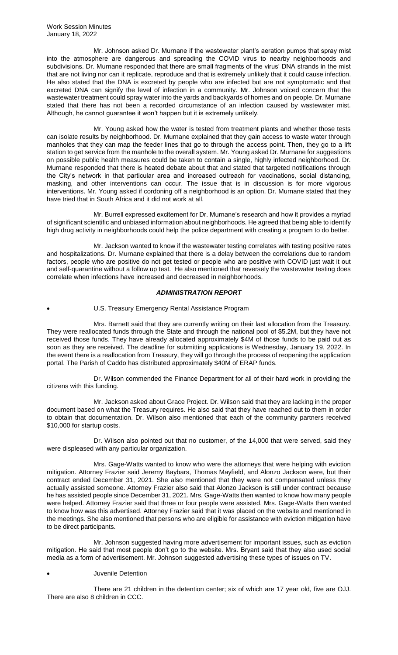Mr. Johnson asked Dr. Murnane if the wastewater plant's aeration pumps that spray mist into the atmosphere are dangerous and spreading the COVID virus to nearby neighborhoods and subdivisions. Dr. Murnane responded that there are small fragments of the virus' DNA strands in the mist that are not living nor can it replicate, reproduce and that is extremely unlikely that it could cause infection. He also stated that the DNA is excreted by people who are infected but are not symptomatic and that excreted DNA can signify the level of infection in a community. Mr. Johnson voiced concern that the wastewater treatment could spray water into the yards and backyards of homes and on people. Dr. Murnane stated that there has not been a recorded circumstance of an infection caused by wastewater mist. Although, he cannot guarantee it won't happen but it is extremely unlikely.

Mr. Young asked how the water is tested from treatment plants and whether those tests can isolate results by neighborhood. Dr. Murnane explained that they gain access to waste water through manholes that they can map the feeder lines that go to through the access point. Then, they go to a lift station to get service from the manhole to the overall system. Mr. Young asked Dr. Murnane for suggestions on possible public health measures could be taken to contain a single, highly infected neighborhood. Dr. Murnane responded that there is heated debate about that and stated that targeted notifications through the City's network in that particular area and increased outreach for vaccinations, social distancing, masking, and other interventions can occur. The issue that is in discussion is for more vigorous interventions. Mr. Young asked if cordoning off a neighborhood is an option. Dr. Murnane stated that they have tried that in South Africa and it did not work at all.

Mr. Burrell expressed excitement for Dr. Murnane's research and how it provides a myriad of significant scientific and unbiased information about neighborhoods. He agreed that being able to identify high drug activity in neighborhoods could help the police department with creating a program to do better.

Mr. Jackson wanted to know if the wastewater testing correlates with testing positive rates and hospitalizations. Dr. Murnane explained that there is a delay between the correlations due to random factors, people who are positive do not get tested or people who are positive with COVID just wait it out and self-quarantine without a follow up test. He also mentioned that reversely the wastewater testing does correlate when infections have increased and decreased in neighborhoods.

# *ADMINISTRATION REPORT*

U.S. Treasury Emergency Rental Assistance Program

Mrs. Barnett said that they are currently writing on their last allocation from the Treasury. They were reallocated funds through the State and through the national pool of \$5.2M, but they have not received those funds. They have already allocated approximately \$4M of those funds to be paid out as soon as they are received. The deadline for submitting applications is Wednesday, January 19, 2022. In the event there is a reallocation from Treasury, they will go through the process of reopening the application portal. The Parish of Caddo has distributed approximately \$40M of ERAP funds.

Dr. Wilson commended the Finance Department for all of their hard work in providing the citizens with this funding.

Mr. Jackson asked about Grace Project. Dr. Wilson said that they are lacking in the proper document based on what the Treasury requires. He also said that they have reached out to them in order to obtain that documentation. Dr. Wilson also mentioned that each of the community partners received \$10,000 for startup costs.

Dr. Wilson also pointed out that no customer, of the 14,000 that were served, said they were displeased with any particular organization.

Mrs. Gage-Watts wanted to know who were the attorneys that were helping with eviction mitigation. Attorney Frazier said Jeremy Baybars, Thomas Mayfield, and Alonzo Jackson were, but their contract ended December 31, 2021. She also mentioned that they were not compensated unless they actually assisted someone. Attorney Frazier also said that Alonzo Jackson is still under contract because he has assisted people since December 31, 2021. Mrs. Gage-Watts then wanted to know how many people were helped. Attorney Frazier said that three or four people were assisted. Mrs. Gage-Watts then wanted to know how was this advertised. Attorney Frazier said that it was placed on the website and mentioned in the meetings. She also mentioned that persons who are eligible for assistance with eviction mitigation have to be direct participants.

Mr. Johnson suggested having more advertisement for important issues, such as eviction mitigation. He said that most people don't go to the website. Mrs. Bryant said that they also used social media as a form of advertisement. Mr. Johnson suggested advertising these types of issues on TV.

## • Juvenile Detention

There are 21 children in the detention center; six of which are 17 year old, five are OJJ. There are also 8 children in CCC.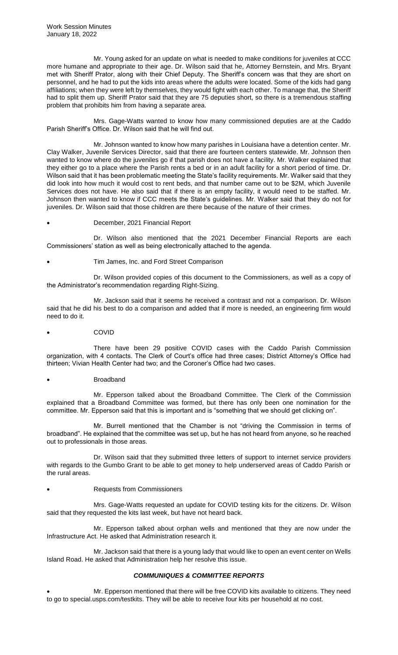Mr. Young asked for an update on what is needed to make conditions for juveniles at CCC more humane and appropriate to their age. Dr. Wilson said that he, Attorney Bernstein, and Mrs. Bryant met with Sheriff Prator, along with their Chief Deputy. The Sheriff's concern was that they are short on personnel, and he had to put the kids into areas where the adults were located. Some of the kids had gang affiliations; when they were left by themselves, they would fight with each other. To manage that, the Sheriff had to split them up. Sheriff Prator said that they are 75 deputies short, so there is a tremendous staffing problem that prohibits him from having a separate area.

Mrs. Gage-Watts wanted to know how many commissioned deputies are at the Caddo Parish Sheriff's Office. Dr. Wilson said that he will find out.

Mr. Johnson wanted to know how many parishes in Louisiana have a detention center. Mr. Clay Walker, Juvenile Services Director, said that there are fourteen centers statewide. Mr. Johnson then wanted to know where do the juveniles go if that parish does not have a facility. Mr. Walker explained that they either go to a place where the Parish rents a bed or in an adult facility for a short period of time. Dr. Wilson said that it has been problematic meeting the State's facility requirements. Mr. Walker said that they did look into how much it would cost to rent beds, and that number came out to be \$2M, which Juvenile Services does not have. He also said that if there is an empty facility, it would need to be staffed. Mr. Johnson then wanted to know if CCC meets the State's guidelines. Mr. Walker said that they do not for juveniles. Dr. Wilson said that those children are there because of the nature of their crimes.

## • December, 2021 Financial Report

Dr. Wilson also mentioned that the 2021 December Financial Reports are each Commissioners' station as well as being electronically attached to the agenda.

• Tim James, Inc. and Ford Street Comparison

Dr. Wilson provided copies of this document to the Commissioners, as well as a copy of the Administrator's recommendation regarding Right-Sizing.

Mr. Jackson said that it seems he received a contrast and not a comparison. Dr. Wilson said that he did his best to do a comparison and added that if more is needed, an engineering firm would need to do it.

• COVID

There have been 29 positive COVID cases with the Caddo Parish Commission organization, with 4 contacts. The Clerk of Court's office had three cases; District Attorney's Office had thirteen; Vivian Health Center had two; and the Coroner's Office had two cases.

## • Broadband

Mr. Epperson talked about the Broadband Committee. The Clerk of the Commission explained that a Broadband Committee was formed, but there has only been one nomination for the committee. Mr. Epperson said that this is important and is "something that we should get clicking on".

Mr. Burrell mentioned that the Chamber is not "driving the Commission in terms of broadband". He explained that the committee was set up, but he has not heard from anyone, so he reached out to professionals in those areas.

Dr. Wilson said that they submitted three letters of support to internet service providers with regards to the Gumbo Grant to be able to get money to help underserved areas of Caddo Parish or the rural areas.

## • Requests from Commissioners

Mrs. Gage-Watts requested an update for COVID testing kits for the citizens. Dr. Wilson said that they requested the kits last week, but have not heard back.

Mr. Epperson talked about orphan wells and mentioned that they are now under the Infrastructure Act. He asked that Administration research it.

Mr. Jackson said that there is a young lady that would like to open an event center on Wells Island Road. He asked that Administration help her resolve this issue.

# *COMMUNIQUES & COMMITTEE REPORTS*

• Mr. Epperson mentioned that there will be free COVID kits available to citizens. They need to go to special.usps.com/testkits. They will be able to receive four kits per household at no cost.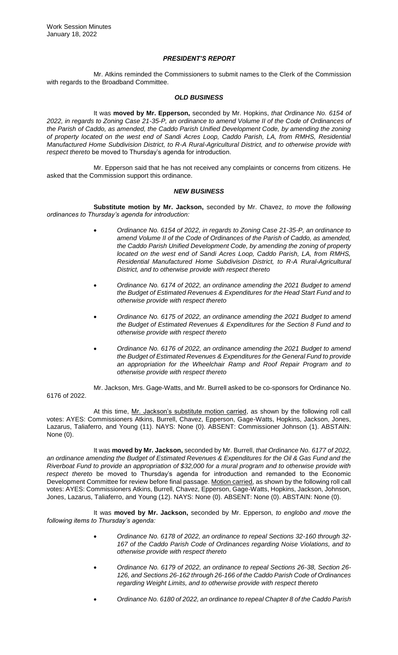# *PRESIDENT'S REPORT*

Mr. Atkins reminded the Commissioners to submit names to the Clerk of the Commission with regards to the Broadband Committee.

## *OLD BUSINESS*

It was **moved by Mr. Epperson,** seconded by Mr. Hopkins, *that Ordinance No. 6154 of 2022, in regards to Zoning Case 21-35-P, an ordinance to amend Volume II of the Code of Ordinances of*  the Parish of Caddo, as amended, the Caddo Parish Unified Development Code, by amending the zoning *of property located on the west end of Sandi Acres Loop, Caddo Parish, LA, from RMHS, Residential Manufactured Home Subdivision District, to R-A Rural-Agricultural District, and to otherwise provide with respect thereto* be moved to Thursday's agenda for introduction.

Mr. Epperson said that he has not received any complaints or concerns from citizens. He asked that the Commission support this ordinance.

## *NEW BUSINESS*

**Substitute motion by Mr. Jackson,** seconded by Mr. Chavez, *to move the following ordinances to Thursday's agenda for introduction:* 

- *Ordinance No. 6154 of 2022, in regards to Zoning Case 21-35-P, an ordinance to amend Volume II of the Code of Ordinances of the Parish of Caddo, as amended, the Caddo Parish Unified Development Code, by amending the zoning of property located on the west end of Sandi Acres Loop, Caddo Parish, LA, from RMHS, Residential Manufactured Home Subdivision District, to R-A Rural-Agricultural District, and to otherwise provide with respect thereto*
- *Ordinance No. 6174 of 2022, an ordinance amending the 2021 Budget to amend the Budget of Estimated Revenues & Expenditures for the Head Start Fund and to otherwise provide with respect thereto*
- *Ordinance No. 6175 of 2022, an ordinance amending the 2021 Budget to amend the Budget of Estimated Revenues & Expenditures for the Section 8 Fund and to otherwise provide with respect thereto*
- *Ordinance No. 6176 of 2022, an ordinance amending the 2021 Budget to amend the Budget of Estimated Revenues & Expenditures for the General Fund to provide an appropriation for the Wheelchair Ramp and Roof Repair Program and to otherwise provide with respect thereto*

Mr. Jackson, Mrs. Gage-Watts, and Mr. Burrell asked to be co-sponsors for Ordinance No. 6176 of 2022.

At this time, Mr. Jackson's substitute motion carried, as shown by the following roll call votes: AYES: Commissioners Atkins, Burrell, Chavez, Epperson, Gage-Watts, Hopkins, Jackson, Jones, Lazarus, Taliaferro, and Young (11). NAYS: None (0). ABSENT: Commissioner Johnson (1). ABSTAIN: None (0).

It was **moved by Mr. Jackson,** seconded by Mr. Burrell, *that Ordinance No. 6177 of 2022, an ordinance amending the Budget of Estimated Revenues & Expenditures for the Oil & Gas Fund and the Riverboat Fund to provide an appropriation of \$32,000 for a mural program and to otherwise provide with respect thereto* be moved to Thursday's agenda for introduction and remanded to the Economic Development Committee for review before final passage. Motion carried, as shown by the following roll call votes: AYES: Commissioners Atkins, Burrell, Chavez, Epperson, Gage-Watts, Hopkins, Jackson, Johnson, Jones, Lazarus, Taliaferro, and Young (12). NAYS: None (0). ABSENT: None (0). ABSTAIN: None (0).

It was **moved by Mr. Jackson,** seconded by Mr. Epperson, *to englobo and move the following items to Thursday's agenda:* 

- *Ordinance No. 6178 of 2022, an ordinance to repeal Sections 32-160 through 32- 167 of the Caddo Parish Code of Ordinances regarding Noise Violations, and to otherwise provide with respect thereto*
- *Ordinance No. 6179 of 2022, an ordinance to repeal Sections 26-38, Section 26- 126, and Sections 26-162 through 26-166 of the Caddo Parish Code of Ordinances regarding Weight Limits, and to otherwise provide with respect thereto*
- *Ordinance No. 6180 of 2022, an ordinance to repeal Chapter 8 of the Caddo Parish*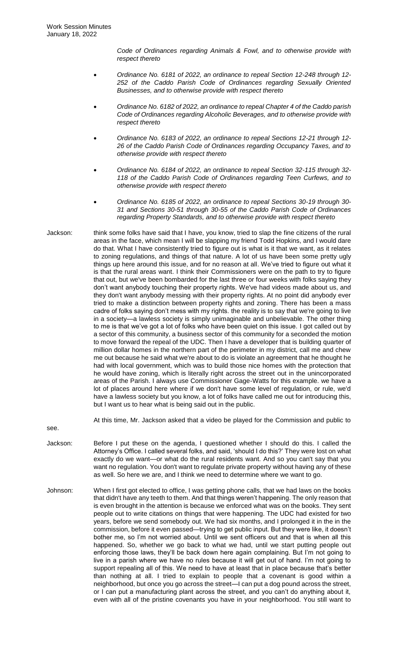*Code of Ordinances regarding Animals & Fowl, and to otherwise provide with respect thereto* 

- *Ordinance No. 6181 of 2022, an ordinance to repeal Section 12-248 through 12- 252 of the Caddo Parish Code of Ordinances regarding Sexually Oriented Businesses, and to otherwise provide with respect thereto*
- *Ordinance No. 6182 of 2022, an ordinance to repeal Chapter 4 of the Caddo parish Code of Ordinances regarding Alcoholic Beverages, and to otherwise provide with respect thereto*
- *Ordinance No. 6183 of 2022, an ordinance to repeal Sections 12-21 through 12- 26 of the Caddo Parish Code of Ordinances regarding Occupancy Taxes, and to otherwise provide with respect thereto*
- *Ordinance No. 6184 of 2022, an ordinance to repeal Section 32-115 through 32- 118 of the Caddo Parish Code of Ordinances regarding Teen Curfews, and to otherwise provide with respect thereto*
- *Ordinance No. 6185 of 2022, an ordinance to repeal Sections 30-19 through 30- 31 and Sections 30-51 through 30-55 of the Caddo Parish Code of Ordinances regarding Property Standards, and to otherwise provide with respect thereto*
- Jackson: think some folks have said that I have, you know, tried to slap the fine citizens of the rural areas in the face, which mean I will be slapping my friend Todd Hopkins, and I would dare do that. What I have consistently tried to figure out is what is it that we want, as it relates to zoning regulations, and things of that nature. A lot of us have been some pretty ugly things up here around this issue, and for no reason at all. We've tried to figure out what it is that the rural areas want. I think their Commissioners were on the path to try to figure that out, but we've been bombarded for the last three or four weeks with folks saying they don't want anybody touching their property rights. We've had videos made about us, and they don't want anybody messing with their property rights. At no point did anybody ever tried to make a distinction between property rights and zoning. There has been a mass cadre of folks saying don't mess with my rights. the reality is to say that we're going to live in a society—a lawless society is simply unimaginable and unbelievable. The other thing to me is that we've got a lot of folks who have been quiet on this issue. I got called out by a sector of this community, a business sector of this community for a seconded the motion to move forward the repeal of the UDC. Then I have a developer that is building quarter of million dollar homes in the northern part of the perimeter in my district, call me and chew me out because he said what we're about to do is violate an agreement that he thought he had with local government, which was to build those nice homes with the protection that he would have zoning, which is literally right across the street out in the unincorporated areas of the Parish. I always use Commissioner Gage-Watts for this example. we have a lot of places around here where if we don't have some level of regulation, or rule, we'd have a lawless society but you know, a lot of folks have called me out for introducing this, but I want us to hear what is being said out in the public.

At this time, Mr. Jackson asked that a video be played for the Commission and public to

see.

- Jackson: Before I put these on the agenda, I questioned whether I should do this. I called the Attorney's Office. I called several folks, and said, 'should I do this?' They were lost on what exactly do we want—or what do the rural residents want. And so you can't say that you want no regulation. You don't want to regulate private property without having any of these as well. So here we are, and I think we need to determine where we want to go.
- Johnson: When I first got elected to office, I was getting phone calls, that we had laws on the books that didn't have any teeth to them. And that things weren't happening. The only reason that is even brought in the attention is because we enforced what was on the books. They sent people out to write citations on things that were happening. The UDC had existed for two years, before we send somebody out. We had six months, and I prolonged it in the in the commission, before it even passed—trying to get public input. But they were like, it doesn't bother me, so I'm not worried about. Until we sent officers out and that is when all this happened. So, whether we go back to what we had, until we start putting people out enforcing those laws, they'll be back down here again complaining. But I'm not going to live in a parish where we have no rules because it will get out of hand. I'm not going to support repealing all of this. We need to have at least that in place because that's better than nothing at all. I tried to explain to people that a covenant is good within a neighborhood, but once you go across the street—I can put a dog pound across the street, or I can put a manufacturing plant across the street, and you can't do anything about it, even with all of the pristine covenants you have in your neighborhood. You still want to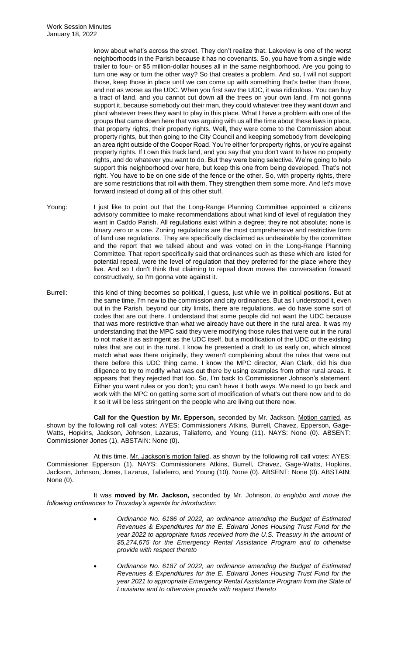know about what's across the street. They don't realize that. Lakeview is one of the worst neighborhoods in the Parish because it has no covenants. So, you have from a single wide trailer to four- or \$5 million-dollar houses all in the same neighborhood. Are you going to turn one way or turn the other way? So that creates a problem. And so, I will not support those, keep those in place until we can come up with something that's better than those, and not as worse as the UDC. When you first saw the UDC, it was ridiculous. You can buy a tract of land, and you cannot cut down all the trees on your own land. I'm not gonna support it, because somebody out their man, they could whatever tree they want down and plant whatever trees they want to play in this place. What I have a problem with one of the groups that came down here that was arguing with us all the time about these laws in place, that property rights, their property rights. Well, they were come to the Commission about property rights, but then going to the City Council and keeping somebody from developing an area right outside of the Cooper Road. You're either for property rights, or you're against property rights. If I own this track land, and you say that you don't want to have no property rights, and do whatever you want to do. But they were being selective. We're going to help support this neighborhood over here, but keep this one from being developed. That's not right. You have to be on one side of the fence or the other. So, with property rights, there are some restrictions that roll with them. They strengthen them some more. And let's move forward instead of doing all of this other stuff.

- Young: I just like to point out that the Long-Range Planning Committee appointed a citizens advisory committee to make recommendations about what kind of level of regulation they want in Caddo Parish. All regulations exist within a degree; they're not absolute; none is binary zero or a one. Zoning regulations are the most comprehensive and restrictive form of land use regulations. They are specifically disclaimed as undesirable by the committee and the report that we talked about and was voted on in the Long-Range Planning Committee. That report specifically said that ordinances such as these which are listed for potential repeal, were the level of regulation that they preferred for the place where they live. And so I don't think that claiming to repeal down moves the conversation forward constructively, so I'm gonna vote against it.
- Burrell: this kind of thing becomes so political, I guess, just while we in political positions. But at the same time, I'm new to the commission and city ordinances. But as I understood it, even out in the Parish, beyond our city limits, there are regulations. we do have some sort of codes that are out there. I understand that some people did not want the UDC because that was more restrictive than what we already have out there in the rural area. It was my understanding that the MPC said they were modifying those rules that were out in the rural to not make it as astringent as the UDC itself, but a modification of the UDC or the existing rules that are out in the rural. I know he presented a draft to us early on, which almost match what was there originally, they weren't complaining about the rules that were out there before this UDC thing came. I know the MPC director, Alan Clark, did his due diligence to try to modify what was out there by using examples from other rural areas. It appears that they rejected that too. So, I'm back to Commissioner Johnson's statement. Either you want rules or you don't; you can't have it both ways. We need to go back and work with the MPC on getting some sort of modification of what's out there now and to do it so it will be less stringent on the people who are living out there now.

**Call for the Question by Mr. Epperson,** seconded by Mr. Jackson. Motion carried, as shown by the following roll call votes: AYES: Commissioners Atkins, Burrell, Chavez, Epperson, Gage-Watts, Hopkins, Jackson, Johnson, Lazarus, Taliaferro, and Young (11). NAYS: None (0). ABSENT: Commissioner Jones (1). ABSTAIN: None (0).

At this time, Mr. Jackson's motion failed, as shown by the following roll call votes: AYES: Commissioner Epperson (1). NAYS: Commissioners Atkins, Burrell, Chavez, Gage-Watts, Hopkins, Jackson, Johnson, Jones, Lazarus, Taliaferro, and Young (10). None (0). ABSENT: None (0). ABSTAIN: None (0).

It was **moved by Mr. Jackson,** seconded by Mr. Johnson, *to englobo and move the following ordinances to Thursday's agenda for introduction:* 

- *Ordinance No. 6186 of 2022, an ordinance amending the Budget of Estimated Revenues & Expenditures for the E. Edward Jones Housing Trust Fund for the year 2022 to appropriate funds received from the U.S. Treasury in the amount of \$5,274,675 for the Emergency Rental Assistance Program and to otherwise provide with respect thereto*
- *Ordinance No. 6187 of 2022, an ordinance amending the Budget of Estimated Revenues & Expenditures for the E. Edward Jones Housing Trust Fund for the year 2021 to appropriate Emergency Rental Assistance Program from the State of Louisiana and to otherwise provide with respect thereto*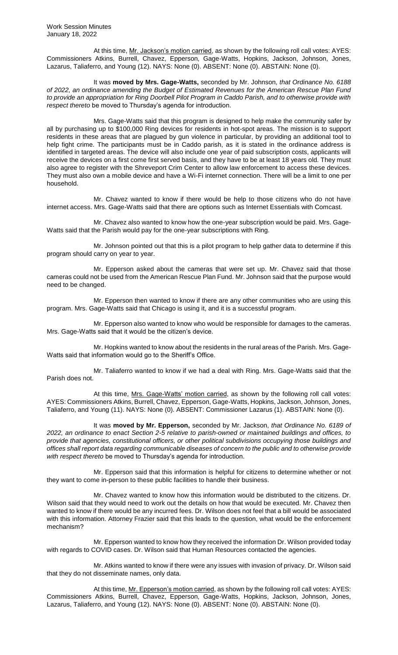At this time, Mr. Jackson's motion carried, as shown by the following roll call votes: AYES: Commissioners Atkins, Burrell, Chavez, Epperson, Gage-Watts, Hopkins, Jackson, Johnson, Jones, Lazarus, Taliaferro, and Young (12). NAYS: None (0). ABSENT: None (0). ABSTAIN: None (0).

It was **moved by Mrs. Gage-Watts,** seconded by Mr. Johnson, *that Ordinance No. 6188 of 2022, an ordinance amending the Budget of Estimated Revenues for the American Rescue Plan Fund to provide an appropriation for Ring Doorbell Pilot Program in Caddo Parish, and to otherwise provide with respect thereto* be moved to Thursday's agenda for introduction.

Mrs. Gage-Watts said that this program is designed to help make the community safer by all by purchasing up to \$100,000 Ring devices for residents in hot-spot areas. The mission is to support residents in these areas that are plagued by gun violence in particular, by providing an additional tool to help fight crime. The participants must be in Caddo parish, as it is stated in the ordinance address is identified in targeted areas. The device will also include one year of paid subscription costs, applicants will receive the devices on a first come first served basis, and they have to be at least 18 years old. They must also agree to register with the Shreveport Crim Center to allow law enforcement to access these devices. They must also own a mobile device and have a Wi-Fi internet connection. There will be a limit to one per household.

Mr. Chavez wanted to know if there would be help to those citizens who do not have internet access. Mrs. Gage-Watts said that there are options such as Internet Essentials with Comcast.

Mr. Chavez also wanted to know how the one-year subscription would be paid. Mrs. Gage-Watts said that the Parish would pay for the one-year subscriptions with Ring.

Mr. Johnson pointed out that this is a pilot program to help gather data to determine if this program should carry on year to year.

Mr. Epperson asked about the cameras that were set up. Mr. Chavez said that those cameras could not be used from the American Rescue Plan Fund. Mr. Johnson said that the purpose would need to be changed.

Mr. Epperson then wanted to know if there are any other communities who are using this program. Mrs. Gage-Watts said that Chicago is using it, and it is a successful program.

Mr. Epperson also wanted to know who would be responsible for damages to the cameras. Mrs. Gage-Watts said that it would be the citizen's device.

Mr. Hopkins wanted to know about the residents in the rural areas of the Parish. Mrs. Gage-Watts said that information would go to the Sheriff's Office.

Mr. Taliaferro wanted to know if we had a deal with Ring. Mrs. Gage-Watts said that the Parish does not.

At this time, Mrs. Gage-Watts' motion carried, as shown by the following roll call votes: AYES: Commissioners Atkins, Burrell, Chavez, Epperson, Gage-Watts, Hopkins, Jackson, Johnson, Jones, Taliaferro, and Young (11). NAYS: None (0). ABSENT: Commissioner Lazarus (1). ABSTAIN: None (0).

It was **moved by Mr. Epperson,** seconded by Mr. Jackson, *that Ordinance No. 6189 of 2022, an ordinance to enact Section 2-5 relative to parish-owned or maintained buildings and offices, to provide that agencies, constitutional officers, or other political subdivisions occupying those buildings and offices shall report data regarding communicable diseases of concern to the public and to otherwise provide with respect thereto* be moved to Thursday's agenda for introduction.

Mr. Epperson said that this information is helpful for citizens to determine whether or not they want to come in-person to these public facilities to handle their business.

Mr. Chavez wanted to know how this information would be distributed to the citizens. Dr. Wilson said that they would need to work out the details on how that would be executed. Mr. Chavez then wanted to know if there would be any incurred fees. Dr. Wilson does not feel that a bill would be associated with this information. Attorney Frazier said that this leads to the question, what would be the enforcement mechanism?

Mr. Epperson wanted to know how they received the information Dr. Wilson provided today with regards to COVID cases. Dr. Wilson said that Human Resources contacted the agencies.

Mr. Atkins wanted to know if there were any issues with invasion of privacy. Dr. Wilson said that they do not disseminate names, only data.

At this time, Mr. Epperson's motion carried, as shown by the following roll call votes: AYES: Commissioners Atkins, Burrell, Chavez, Epperson, Gage-Watts, Hopkins, Jackson, Johnson, Jones, Lazarus, Taliaferro, and Young (12). NAYS: None (0). ABSENT: None (0). ABSTAIN: None (0).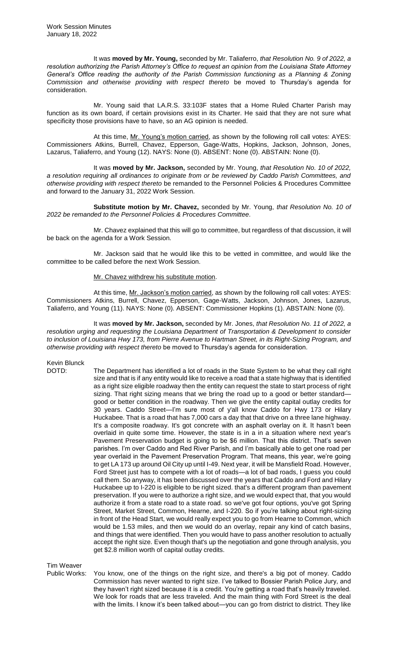It was **moved by Mr. Young,** seconded by Mr. Taliaferro, *that Resolution No. 9 of 2022, a resolution authorizing the Parish Attorney's Office to request an opinion from the Louisiana State Attorney General's Office reading the authority of the Parish Commission functioning as a Planning & Zoning Commission and otherwise providing with respect thereto* be moved to Thursday's agenda for consideration.

Mr. Young said that LA.R.S. 33:103F states that a Home Ruled Charter Parish may function as its own board, if certain provisions exist in its Charter. He said that they are not sure what specificity those provisions have to have, so an AG opinion is needed.

At this time, Mr. Young's motion carried, as shown by the following roll call votes: AYES: Commissioners Atkins, Burrell, Chavez, Epperson, Gage-Watts, Hopkins, Jackson, Johnson, Jones, Lazarus, Taliaferro, and Young (12). NAYS: None (0). ABSENT: None (0). ABSTAIN: None (0).

It was **moved by Mr. Jackson,** seconded by Mr. Young, *that Resolution No. 10 of 2022, a resolution requiring all ordinances to originate from or be reviewed by Caddo Parish Committees, and otherwise providing with respect thereto* be remanded to the Personnel Policies & Procedures Committee and forward to the January 31, 2022 Work Session.

**Substitute motion by Mr. Chavez,** seconded by Mr. Young, *that Resolution No. 10 of 2022 be remanded to the Personnel Policies & Procedures Committee.* 

Mr. Chavez explained that this will go to committee, but regardless of that discussion, it will be back on the agenda for a Work Session.

Mr. Jackson said that he would like this to be vetted in committee, and would like the committee to be called before the next Work Session.

## Mr. Chavez withdrew his substitute motion.

At this time, Mr. Jackson's motion carried, as shown by the following roll call votes: AYES: Commissioners Atkins, Burrell, Chavez, Epperson, Gage-Watts, Jackson, Johnson, Jones, Lazarus, Taliaferro, and Young (11). NAYS: None (0). ABSENT: Commissioner Hopkins (1). ABSTAIN: None (0).

It was **moved by Mr. Jackson,** seconded by Mr. Jones, *that Resolution No. 11 of 2022, a resolution urging and requesting the Louisiana Department of Transportation & Development to consider to inclusion of Louisiana Hwy 173, from Pierre Avenue to Hartman Street, in its Right-Sizing Program, and otherwise providing with respect thereto* be moved to Thursday's agenda for consideration.

# Kevin Blunck

DOTD: The Department has identified a lot of roads in the State System to be what they call right size and that is if any entity would like to receive a road that a state highway that is identified as a right size eligible roadway then the entity can request the state to start process of right sizing. That right sizing means that we bring the road up to a good or better standard good or better condition in the roadway. Then we give the entity capital outlay credits for 30 years. Caddo Street—I'm sure most of y'all know Caddo for Hwy 173 or Hilary Huckabee. That is a road that has 7,000 cars a day that that drive on a three lane highway. It's a composite roadway. It's got concrete with an asphalt overlay on it. It hasn't been overlaid in quite some time. However, the state is in a in a situation where next year's Pavement Preservation budget is going to be \$6 million. That this district. That's seven parishes. I'm over Caddo and Red River Parish, and I'm basically able to get one road per year overlaid in the Pavement Preservation Program. That means, this year, we're going to get LA 173 up around Oil City up until I-49. Next year, it will be Mansfield Road. However, Ford Street just has to compete with a lot of roads—a lot of bad roads, I guess you could call them. So anyway, it has been discussed over the years that Caddo and Ford and Hilary Huckabee up to I-220 is eligible to be right sized. that's a different program than pavement preservation. If you were to authorize a right size, and we would expect that, that you would authorize it from a state road to a state road. so we've got four options, you've got Spring Street, Market Street, Common, Hearne, and I-220. So if you're talking about right-sizing in front of the Head Start, we would really expect you to go from Hearne to Common, which would be 1.53 miles, and then we would do an overlay, repair any kind of catch basins, and things that were identified. Then you would have to pass another resolution to actually accept the right size. Even though that's up the negotiation and gone through analysis, you get \$2.8 million worth of capital outlay credits.

Tim Weaver

Public Works: You know, one of the things on the right size, and there's a big pot of money. Caddo Commission has never wanted to right size. I've talked to Bossier Parish Police Jury, and they haven't right sized because it is a credit. You're getting a road that's heavily traveled. We look for roads that are less traveled. And the main thing with Ford Street is the deal with the limits. I know it's been talked about—you can go from district to district. They like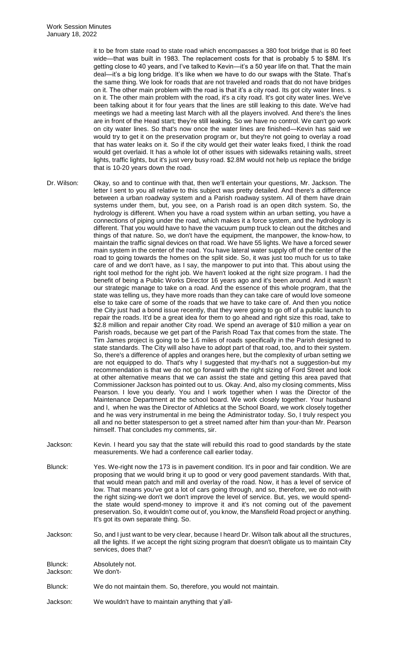it to be from state road to state road which encompasses a 380 foot bridge that is 80 feet wide—that was built in 1983. The replacement costs for that is probably 5 to \$8M. It's getting close to 40 years, and I've talked to Kevin—it's a 50 year life on that. That the main deal—it's a big long bridge. It's like when we have to do our swaps with the State. That's the same thing. We look for roads that are not traveled and roads that do not have bridges on it. The other main problem with the road is that it's a city road. Its got city water lines. s on it. The other main problem with the road, it's a city road. It's got city water lines. We've been talking about it for four years that the lines are still leaking to this date. We've had meetings we had a meeting last March with all the players involved. And there's the lines are in front of the Head start; they're still leaking. So we have no control. We can't go work on city water lines. So that's now once the water lines are finished—Kevin has said we would try to get it on the preservation program or, but they're not going to overlay a road that has water leaks on it. So if the city would get their water leaks fixed, I think the road would get overlaid. It has a whole lot of other issues with sidewalks retaining walls, street lights, traffic lights, but it's just very busy road. \$2.8M would not help us replace the bridge that is 10-20 years down the road.

- Dr. Wilson: Okay, so and to continue with that, then we'll entertain your questions, Mr. Jackson. The letter I sent to you all relative to this subject was pretty detailed. And there's a difference between a urban roadway system and a Parish roadway system. All of them have drain systems under them, but, you see, on a Parish road is an open ditch system. So, the hydrology is different. When you have a road system within an urban setting, you have a connections of piping under the road, which makes it a force system, and the hydrology is different. That you would have to have the vacuum pump truck to clean out the ditches and things of that nature. So, we don't have the equipment, the manpower, the know-how, to maintain the traffic signal devices on that road. We have 55 lights. We have a forced sewer main system in the center of the road. You have lateral water supply off of the center of the road to going towards the homes on the split side. So, it was just too much for us to take care of and we don't have, as I say, the manpower to put into that. This about using the right tool method for the right job. We haven't looked at the right size program. I had the benefit of being a Public Works Director 16 years ago and it's been around. And it wasn't our strategic manage to take on a road. And the essence of this whole program, that the state was telling us, they have more roads than they can take care of would love someone else to take care of some of the roads that we have to take care of. And then you notice the City just had a bond issue recently, that they were going to go off of a public launch to repair the roads. It'd be a great idea for them to go ahead and right size this road, take to \$2.8 million and repair another City road. We spend an average of \$10 million a year on Parish roads, because we get part of the Parish Road Tax that comes from the state. The Tim James project is going to be 1.6 miles of roads specifically in the Parish designed to state standards. The City will also have to adopt part of that road, too, and to their system. So, there's a difference of apples and oranges here, but the complexity of urban setting we are not equipped to do. That's why I suggested that my-that's not a suggestion-but my recommendation is that we do not go forward with the right sizing of Ford Street and look at other alternative means that we can assist the state and getting this area paved that Commissioner Jackson has pointed out to us. Okay. And, also my closing comments, Miss Pearson. I love you dearly. You and I work together when I was the Director of the Maintenance Department at the school board. We work closely together. Your husband and I, when he was the Director of Athletics at the School Board, we work closely together and he was very instrumental in me being the Administrator today. So, I truly respect you all and no better statesperson to get a street named after him than your-than Mr. Pearson himself. That concludes my comments, sir. Jackson: Kevin. I heard you say that the state will rebuild this road to good standards by the state
- measurements. We had a conference call earlier today.

Blunck: Yes. We-right now the 173 is in pavement condition. It's in poor and fair condition. We are proposing that we would bring it up to good or very good pavement standards. With that, that would mean patch and mill and overlay of the road. Now, it has a level of service of low. That means you've got a lot of cars going through, and so, therefore, we do not-with the right sizing-we don't we don't improve the level of service. But, yes, we would spendthe state would spend-money to improve it and it's not coming out of the pavement preservation. So, it wouldn't come out of, you know, the Mansfield Road project or anything. It's got its own separate thing. So.

Jackson: So, and I just want to be very clear, because I heard Dr. Wilson talk about all the structures, all the lights. If we accept the right sizing program that doesn't obligate us to maintain City services, does that?

| Blunck:  | Absolutely not.                                                 |
|----------|-----------------------------------------------------------------|
| Jackson: | We don't-                                                       |
| Blunck:  | We do not maintain them. So, therefore, you would not maintain. |

Jackson: We wouldn't have to maintain anything that y'all-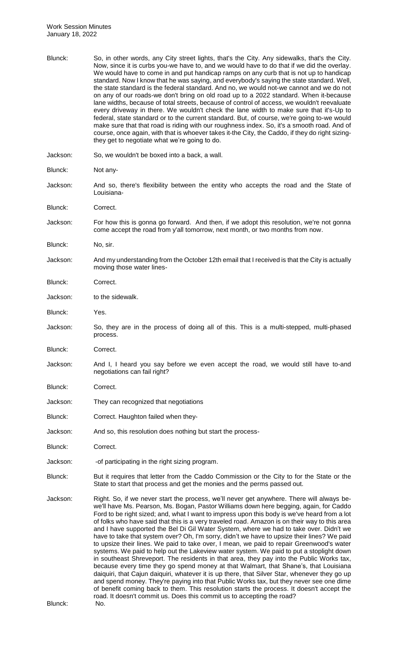| Blunck:  | So, in other words, any City street lights, that's the City. Any sidewalks, that's the City.<br>Now, since it is curbs you-we have to, and we would have to do that if we did the overlay.<br>We would have to come in and put handicap ramps on any curb that is not up to handicap<br>standard. Now I know that he was saying, and everybody's saying the state standard. Well,<br>the state standard is the federal standard. And no, we would not-we cannot and we do not<br>on any of our roads-we don't bring on old road up to a 2022 standard. When it-because<br>lane widths, because of total streets, because of control of access, we wouldn't reevaluate<br>every driveway in there. We wouldn't check the lane width to make sure that it's-Up to<br>federal, state standard or to the current standard. But, of course, we're going to-we would<br>make sure that that road is riding with our roughness index. So, it's a smooth road. And of<br>course, once again, with that is whoever takes it-the City, the Caddo, if they do right sizing-<br>they get to negotiate what we're going to do.                                                                                                                                                                                                           |
|----------|-----------------------------------------------------------------------------------------------------------------------------------------------------------------------------------------------------------------------------------------------------------------------------------------------------------------------------------------------------------------------------------------------------------------------------------------------------------------------------------------------------------------------------------------------------------------------------------------------------------------------------------------------------------------------------------------------------------------------------------------------------------------------------------------------------------------------------------------------------------------------------------------------------------------------------------------------------------------------------------------------------------------------------------------------------------------------------------------------------------------------------------------------------------------------------------------------------------------------------------------------------------------------------------------------------------------------------|
| Jackson: | So, we wouldn't be boxed into a back, a wall.                                                                                                                                                                                                                                                                                                                                                                                                                                                                                                                                                                                                                                                                                                                                                                                                                                                                                                                                                                                                                                                                                                                                                                                                                                                                               |
| Blunck:  | Not any-                                                                                                                                                                                                                                                                                                                                                                                                                                                                                                                                                                                                                                                                                                                                                                                                                                                                                                                                                                                                                                                                                                                                                                                                                                                                                                                    |
| Jackson: | And so, there's flexibility between the entity who accepts the road and the State of<br>Louisiana-                                                                                                                                                                                                                                                                                                                                                                                                                                                                                                                                                                                                                                                                                                                                                                                                                                                                                                                                                                                                                                                                                                                                                                                                                          |
| Blunck:  | Correct.                                                                                                                                                                                                                                                                                                                                                                                                                                                                                                                                                                                                                                                                                                                                                                                                                                                                                                                                                                                                                                                                                                                                                                                                                                                                                                                    |
| Jackson: | For how this is gonna go forward. And then, if we adopt this resolution, we're not gonna<br>come accept the road from y'all tomorrow, next month, or two months from now.                                                                                                                                                                                                                                                                                                                                                                                                                                                                                                                                                                                                                                                                                                                                                                                                                                                                                                                                                                                                                                                                                                                                                   |
| Blunck:  | No, sir.                                                                                                                                                                                                                                                                                                                                                                                                                                                                                                                                                                                                                                                                                                                                                                                                                                                                                                                                                                                                                                                                                                                                                                                                                                                                                                                    |
| Jackson: | And my understanding from the October 12th email that I received is that the City is actually<br>moving those water lines-                                                                                                                                                                                                                                                                                                                                                                                                                                                                                                                                                                                                                                                                                                                                                                                                                                                                                                                                                                                                                                                                                                                                                                                                  |
| Blunck:  | Correct.                                                                                                                                                                                                                                                                                                                                                                                                                                                                                                                                                                                                                                                                                                                                                                                                                                                                                                                                                                                                                                                                                                                                                                                                                                                                                                                    |
| Jackson: | to the sidewalk.                                                                                                                                                                                                                                                                                                                                                                                                                                                                                                                                                                                                                                                                                                                                                                                                                                                                                                                                                                                                                                                                                                                                                                                                                                                                                                            |
| Blunck:  | Yes.                                                                                                                                                                                                                                                                                                                                                                                                                                                                                                                                                                                                                                                                                                                                                                                                                                                                                                                                                                                                                                                                                                                                                                                                                                                                                                                        |
| Jackson: | So, they are in the process of doing all of this. This is a multi-stepped, multi-phased<br>process.                                                                                                                                                                                                                                                                                                                                                                                                                                                                                                                                                                                                                                                                                                                                                                                                                                                                                                                                                                                                                                                                                                                                                                                                                         |
| Blunck:  | Correct.                                                                                                                                                                                                                                                                                                                                                                                                                                                                                                                                                                                                                                                                                                                                                                                                                                                                                                                                                                                                                                                                                                                                                                                                                                                                                                                    |
| Jackson: | And I, I heard you say before we even accept the road, we would still have to-and<br>negotiations can fail right?                                                                                                                                                                                                                                                                                                                                                                                                                                                                                                                                                                                                                                                                                                                                                                                                                                                                                                                                                                                                                                                                                                                                                                                                           |
| Blunck:  | Correct.                                                                                                                                                                                                                                                                                                                                                                                                                                                                                                                                                                                                                                                                                                                                                                                                                                                                                                                                                                                                                                                                                                                                                                                                                                                                                                                    |
| Jackson: | They can recognized that negotiations                                                                                                                                                                                                                                                                                                                                                                                                                                                                                                                                                                                                                                                                                                                                                                                                                                                                                                                                                                                                                                                                                                                                                                                                                                                                                       |
| Blunck:  | Correct. Haughton failed when they-                                                                                                                                                                                                                                                                                                                                                                                                                                                                                                                                                                                                                                                                                                                                                                                                                                                                                                                                                                                                                                                                                                                                                                                                                                                                                         |
| Jackson: | And so, this resolution does nothing but start the process-                                                                                                                                                                                                                                                                                                                                                                                                                                                                                                                                                                                                                                                                                                                                                                                                                                                                                                                                                                                                                                                                                                                                                                                                                                                                 |
| Blunck:  | Correct.                                                                                                                                                                                                                                                                                                                                                                                                                                                                                                                                                                                                                                                                                                                                                                                                                                                                                                                                                                                                                                                                                                                                                                                                                                                                                                                    |
| Jackson: | -of participating in the right sizing program.                                                                                                                                                                                                                                                                                                                                                                                                                                                                                                                                                                                                                                                                                                                                                                                                                                                                                                                                                                                                                                                                                                                                                                                                                                                                              |
| Blunck:  | But it requires that letter from the Caddo Commission or the City to for the State or the<br>State to start that process and get the monies and the perms passed out.                                                                                                                                                                                                                                                                                                                                                                                                                                                                                                                                                                                                                                                                                                                                                                                                                                                                                                                                                                                                                                                                                                                                                       |
| Jackson: | Right. So, if we never start the process, we'll never get anywhere. There will always be-<br>we'll have Ms. Pearson, Ms. Bogan, Pastor Williams down here begging, again, for Caddo<br>Ford to be right sized; and, what I want to impress upon this body is we've heard from a lot<br>of folks who have said that this is a very traveled road. Amazon is on their way to this area<br>and I have supported the Bel Di Gil Water System, where we had to take over. Didn't we<br>have to take that system over? Oh, I'm sorry, didn't we have to upsize their lines? We paid<br>to upsize their lines. We paid to take over, I mean, we paid to repair Greenwood's water<br>systems. We paid to help out the Lakeview water system. We paid to put a stoplight down<br>in southeast Shreveport. The residents in that area, they pay into the Public Works tax,<br>because every time they go spend money at that Walmart, that Shane's, that Louisiana<br>daiquiri, that Cajun daiquiri, whatever it is up there, that Silver Star, whenever they go up<br>and spend money. They're paying into that Public Works tax, but they never see one dime<br>of benefit coming back to them. This resolution starts the process. It doesn't accept the<br>road. It doesn't commit us. Does this commit us to accepting the road? |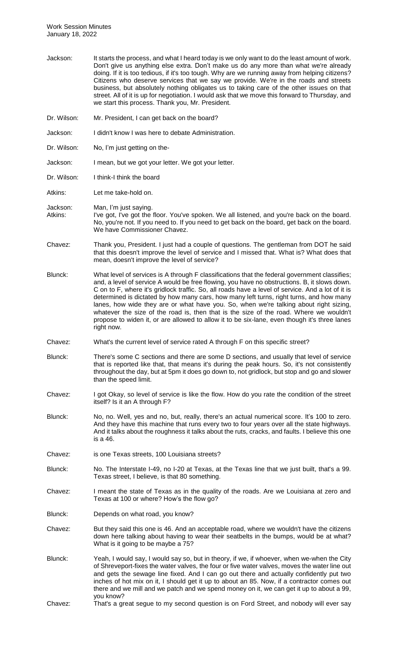- Jackson: It starts the process, and what I heard today is we only want to do the least amount of work. Don't give us anything else extra. Don't make us do any more than what we're already doing. If it is too tedious, if it's too tough. Why are we running away from helping citizens? Citizens who deserve services that we say we provide. We're in the roads and streets business, but absolutely nothing obligates us to taking care of the other issues on that street. All of it is up for negotiation. I would ask that we move this forward to Thursday, and we start this process. Thank you, Mr. President.
- Dr. Wilson: Mr. President, I can get back on the board?
- Jackson: I didn't know I was here to debate Administration.
- Dr. Wilson: No, I'm just getting on the-
- Jackson: I mean, but we got your letter. We got your letter.
- Dr. Wilson: I think-I think the board
- Atkins: Let me take-hold on.
- Jackson: Man, I'm just saying. Atkins: I've got, I've got the floor. You've spoken. We all listened, and you're back on the board. No, you're not. If you need to. If you need to get back on the board, get back on the board. We have Commissioner Chavez.
- Chavez: Thank you, President. I just had a couple of questions. The gentleman from DOT he said that this doesn't improve the level of service and I missed that. What is? What does that mean, doesn't improve the level of service?
- Blunck: What level of services is A through F classifications that the federal government classifies; and, a level of service A would be free flowing, you have no obstructions. B, it slows down. C on to F, where it's gridlock traffic. So, all roads have a level of service. And a lot of it is determined is dictated by how many cars, how many left turns, right turns, and how many lanes, how wide they are or what have you. So, when we're talking about right sizing, whatever the size of the road is, then that is the size of the road. Where we wouldn't propose to widen it, or are allowed to allow it to be six-lane, even though it's three lanes right now.
- Chavez: What's the current level of service rated A through F on this specific street?
- Blunck: There's some C sections and there are some D sections, and usually that level of service that is reported like that, that means it's during the peak hours. So, it's not consistently throughout the day, but at 5pm it does go down to, not gridlock, but stop and go and slower than the speed limit.
- Chavez: I got Okay, so level of service is like the flow. How do you rate the condition of the street itself? Is it an A through F?
- Blunck: No, no. Well, yes and no, but, really, there's an actual numerical score. It's 100 to zero. And they have this machine that runs every two to four years over all the state highways. And it talks about the roughness it talks about the ruts, cracks, and faults. I believe this one is a 46.
- Chavez: is one Texas streets, 100 Louisiana streets?
- Blunck: No. The Interstate I-49, no I-20 at Texas, at the Texas line that we just built, that's a 99. Texas street, I believe, is that 80 something.
- Chavez: I meant the state of Texas as in the quality of the roads. Are we Louisiana at zero and Texas at 100 or where? How's the flow go?
- Blunck: Depends on what road, you know?
- Chavez: But they said this one is 46. And an acceptable road, where we wouldn't have the citizens down here talking about having to wear their seatbelts in the bumps, would be at what? What is it going to be maybe a 75?
- Blunck: Yeah, I would say, I would say so, but in theory, if we, if whoever, when we-when the City of Shreveport-fixes the water valves, the four or five water valves, moves the water line out and gets the sewage line fixed. And I can go out there and actually confidently put two inches of hot mix on it, I should get it up to about an 85. Now, if a contractor comes out there and we mill and we patch and we spend money on it, we can get it up to about a 99, you know?
- Chavez: That's a great segue to my second question is on Ford Street, and nobody will ever say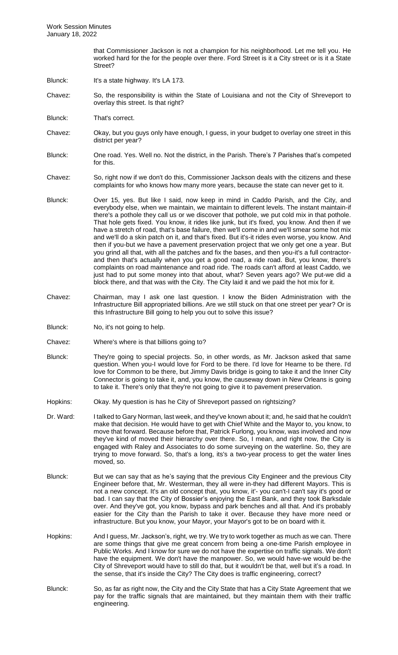that Commissioner Jackson is not a champion for his neighborhood. Let me tell you. He worked hard for the for the people over there. Ford Street is it a City street or is it a State Street?

- Blunck: It's a state highway. It's LA 173.
- Chavez: So, the responsibility is within the State of Louisiana and not the City of Shreveport to overlay this street. Is that right?
- Blunck: That's correct.
- Chavez: Okay, but you guys only have enough, I guess, in your budget to overlay one street in this district per year?
- Blunck: One road. Yes. Well no. Not the district, in the Parish. There's 7 Parishes that's competed for this.
- Chavez: So, right now if we don't do this, Commissioner Jackson deals with the citizens and these complaints for who knows how many more years, because the state can never get to it.
- Blunck: Over 15, yes. But like I said, now keep in mind in Caddo Parish, and the City, and everybody else, when we maintain, we maintain to different levels. The instant maintain-if there's a pothole they call us or we discover that pothole, we put cold mix in that pothole. That hole gets fixed. You know, it rides like junk, but it's fixed, you know. And then if we have a stretch of road, that's base failure, then we'll come in and we'll smear some hot mix and we'll do a skin patch on it, and that's fixed. But it's-it rides even worse, you know. And then if you-but we have a pavement preservation project that we only get one a year. But you grind all that, with all the patches and fix the bases, and then you-it's a full contractorand then that's actually when you get a good road, a ride road. But, you know, there's complaints on road maintenance and road ride. The roads can't afford at least Caddo, we just had to put some money into that about, what? Seven years ago? We put-we did a block there, and that was with the City. The City laid it and we paid the hot mix for it.
- Chavez: Chairman, may I ask one last question. I know the Biden Administration with the Infrastructure Bill appropriated billions. Are we still stuck on that one street per year? Or is this Infrastructure Bill going to help you out to solve this issue?
- Blunck: No, it's not going to help.
- Chavez: Where's where is that billions going to?
- Blunck: They're going to special projects. So, in other words, as Mr. Jackson asked that same question. When you-I would love for Ford to be there. I'd love for Hearne to be there. I'd love for Common to be there, but Jimmy Davis bridge is going to take it and the Inner City Connector is going to take it, and, you know, the causeway down in New Orleans is going to take it. There's only that they're not going to give it to pavement preservation.
- Hopkins: Okay. My question is has he City of Shreveport passed on rightsizing?
- Dr. Ward: Italked to Gary Norman, last week, and they've known about it; and, he said that he couldn't make that decision. He would have to get with Chief White and the Mayor to, you know, to move that forward. Because before that, Patrick Furlong, you know, was involved and now they've kind of moved their hierarchy over there. So, I mean, and right now, the City is engaged with Raley and Associates to do some surveying on the waterline. So, they are trying to move forward. So, that's a long, its's a two-year process to get the water lines moved, so.
- Blunck: But we can say that as he's saying that the previous City Engineer and the previous City Engineer before that, Mr. Westerman, they all were in-they had different Mayors. This is not a new concept. It's an old concept that, you know, it'- you can't-I can't say it's good or bad. I can say that the City of Bossier's enjoying the East Bank, and they took Barksdale over. And they've got, you know, bypass and park benches and all that. And it's probably easier for the City than the Parish to take it over. Because they have more need or infrastructure. But you know, your Mayor, your Mayor's got to be on board with it.
- Hopkins: And I guess, Mr. Jackson's, right, we try. We try to work together as much as we can. There are some things that give me great concern from being a one-time Parish employee in Public Works. And I know for sure we do not have the expertise on traffic signals. We don't have the equipment. We don't have the manpower. So, we would have-we would be-the City of Shreveport would have to still do that, but it wouldn't be that, well but it's a road. In the sense, that it's inside the City? The City does is traffic engineering, correct?
- Blunck: So, as far as right now, the City and the City State that has a City State Agreement that we pay for the traffic signals that are maintained, but they maintain them with their traffic engineering.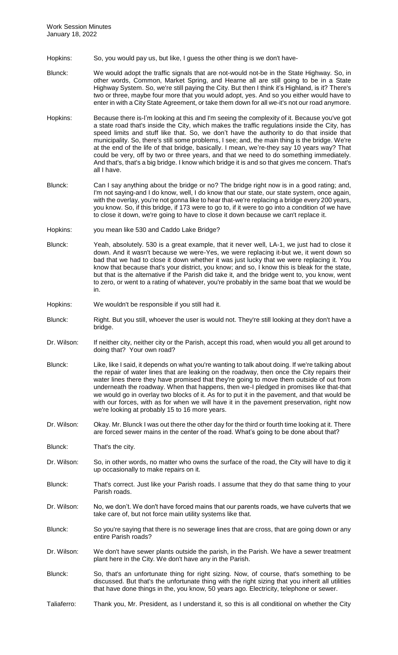- Hopkins: So, you would pay us, but like, I guess the other thing is we don't have-
- Blunck: We would adopt the traffic signals that are not-would not-be in the State Highway. So, in other words, Common, Market Spring, and Hearne all are still going to be in a State Highway System. So, we're still paying the City. But then I think it's Highland, is it? There's two or three, maybe four more that you would adopt, yes. And so you either would have to enter in with a City State Agreement, or take them down for all we-it's not our road anymore.
- Hopkins: Because there is-I'm looking at this and I'm seeing the complexity of it. Because you've got a state road that's inside the City, which makes the traffic regulations inside the City, has speed limits and stuff like that. So, we don't have the authority to do that inside that municipality. So, there's still some problems, I see; and, the main thing is the bridge. We're at the end of the life of that bridge, basically. I mean, we're-they say 10 years way? That could be very, off by two or three years, and that we need to do something immediately. And that's, that's a big bridge. I know which bridge it is and so that gives me concern. That's all I have.
- Blunck: Can I say anything about the bridge or no? The bridge right now is in a good rating; and, I'm not saying-and I do know, well, I do know that our state, our state system, once again, with the overlay, you're not gonna like to hear that-we're replacing a bridge every 200 years, you know. So, if this bridge, if 173 were to go to, if it were to go into a condition of we have to close it down, we're going to have to close it down because we can't replace it.

Hopkins: you mean like 530 and Caddo Lake Bridge?

- Blunck: Yeah, absolutely. 530 is a great example, that it never well, LA-1, we just had to close it down. And it wasn't because we were-Yes, we were replacing it-but we, it went down so bad that we had to close it down whether it was just lucky that we were replacing it. You know that because that's your district, you know; and so, I know this is bleak for the state, but that is the alternative if the Parish did take it, and the bridge went to, you know, went to zero, or went to a rating of whatever, you're probably in the same boat that we would be in.
- Hopkins: We wouldn't be responsible if you still had it.
- Blunck: Right. But you still, whoever the user is would not. They're still looking at they don't have a bridge.
- Dr. Wilson: If neither city, neither city or the Parish, accept this road, when would you all get around to doing that? Your own road?
- Blunck: Like, like I said, it depends on what you're wanting to talk about doing. If we're talking about the repair of water lines that are leaking on the roadway, then once the City repairs their water lines there they have promised that they're going to move them outside of out from underneath the roadway. When that happens, then we-I pledged in promises like that-that we would go in overlay two blocks of it. As for to put it in the pavement, and that would be with our forces, with as for when we will have it in the pavement preservation, right now we're looking at probably 15 to 16 more years.
- Dr. Wilson: Okay. Mr. Blunck I was out there the other day for the third or fourth time looking at it. There are forced sewer mains in the center of the road. What's going to be done about that?

Blunck: That's the city.

- Dr. Wilson: So, in other words, no matter who owns the surface of the road, the City will have to dig it up occasionally to make repairs on it.
- Blunck: That's correct. Just like your Parish roads. I assume that they do that same thing to your Parish roads.
- Dr. Wilson: No, we don't. We don't have forced mains that our parents roads, we have culverts that we take care of, but not force main utility systems like that.
- Blunck: So you're saying that there is no sewerage lines that are cross, that are going down or any entire Parish roads?
- Dr. Wilson: We don't have sewer plants outside the parish, in the Parish. We have a sewer treatment plant here in the City. We don't have any in the Parish.
- Blunck: So, that's an unfortunate thing for right sizing. Now, of course, that's something to be discussed. But that's the unfortunate thing with the right sizing that you inherit all utilities that have done things in the, you know, 50 years ago. Electricity, telephone or sewer.
- Taliaferro: Thank you, Mr. President, as I understand it, so this is all conditional on whether the City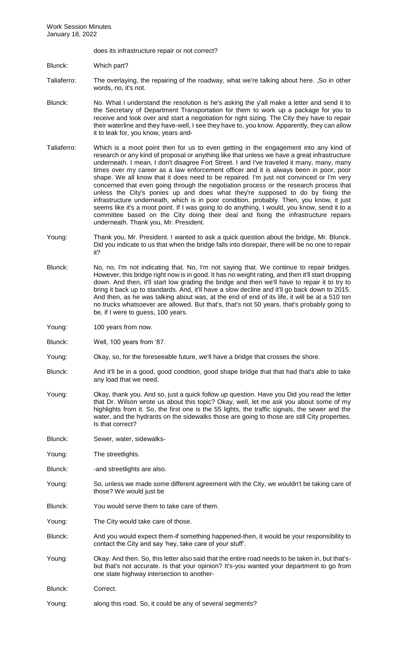does its infrastructure repair or not correct?

Blunck: Which part?

- Taliaferro: The overlaying, the repairing of the roadway, what we're talking about here. ,So in other words, no, it's not.
- Blunck: No. What I understand the resolution is he's asking the y'all make a letter and send it to the Secretary of Department Transportation for them to work up a package for you to receive and look over and start a negotiation for right sizing. The City they have to repair their waterline and they have-well, I see they have to, you know. Apparently, they can allow it to leak for, you know, years and-
- Taliaferro: Which is a moot point then for us to even getting in the engagement into any kind of research or any kind of proposal or anything like that unless we have a great infrastructure underneath. I mean, I don't disagree Fort Street. I and I've traveled it many, many, many times over my career as a law enforcement officer and it is always been in poor, poor shape. We all know that it does need to be repaired. I'm just not convinced or I'm very concerned that even going through the negotiation process or the research process that unless the City's ponies up and does what they're supposed to do by fixing the infrastructure underneath, which is in poor condition, probably. Then, you know, it just seems like it's a moot point. If I was going to do anything, I would, you know, send it to a committee based on the City doing their deal and fixing the infrastructure repairs underneath. Thank you, Mr. President.
- Young: Thank you, Mr. President. I wanted to ask a quick question about the bridge, Mr. Blunck. Did you indicate to us that when the bridge falls into disrepair, there will be no one to repair it?
- Blunck: No, no, I'm not indicating that. No, I'm not saying that. We continue to repair bridges. However, this bridge right now is in good. It has no weight rating, and then it'll start dropping down. And then, it'll start low grading the bridge and then we'll have to repair it to try to bring it back up to standards. And, it'll have a slow decline and it'll go back down to 2015. And then, as he was talking about was, at the end of end of its life, it will be at a 510 ton no trucks whatsoever are allowed. But that's, that's not 50 years, that's probably going to be, if I were to guess, 100 years.
- Young: 100 years from now.
- Blunck: Well, 100 years from '87.
- Young: Okay, so, for the foreseeable future, we'll have a bridge that crosses the shore.
- Blunck: And it'll be in a good, good condition, good shape bridge that that had that's able to take any load that we need.
- Young: Okay, thank you. And so, just a quick follow up question. Have you Did you read the letter that Dr. Wilson wrote us about this topic? Okay, well, let me ask you about some of my highlights from it. So, the first one is the 55 lights, the traffic signals, the sewer and the water, and the hydrants on the sidewalks those are going to those are still City properties. Is that correct?
- Blunck: Sewer, water, sidewalks-
- Young: The streetlights.
- Blunck: -and streetlights are also.
- Young: So, unless we made some different agreement with the City, we wouldn't be taking care of those? We would just be
- Blunck: You would serve them to take care of them.
- Young: The City would take care of those.
- Blunck: And you would expect them-if something happened-then, it would be your responsibility to contact the City and say 'hey, take care of your stuff'.
- Young: Okay. And then. So, this letter also said that the entire road needs to be taken in, but that'sbut that's not accurate. Is that your opinion? It's-you wanted your department to go from one state highway intersection to another-
- Blunck: Correct.
- Young: along this road. So, it could be any of several segments?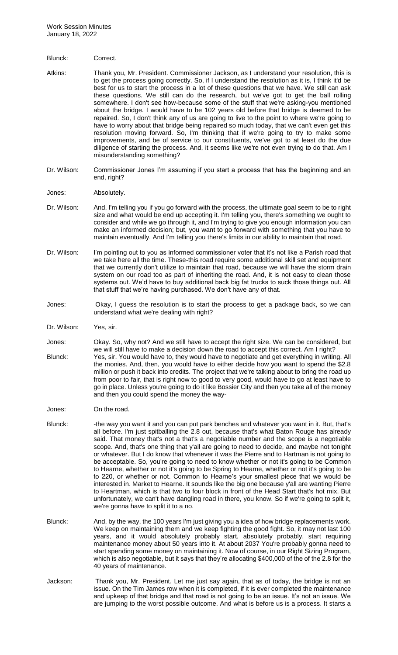#### Blunck: Correct.

Atkins: Thank you, Mr. President. Commissioner Jackson, as I understand your resolution, this is to get the process going correctly. So, if I understand the resolution as it is, I think it'd be best for us to start the process in a lot of these questions that we have. We still can ask these questions. We still can do the research, but we've got to get the ball rolling somewhere. I don't see how-because some of the stuff that we're asking-you mentioned about the bridge. I would have to be 102 years old before that bridge is deemed to be repaired. So, I don't think any of us are going to live to the point to where we're going to have to worry about that bridge being repaired so much today, that we can't even get this resolution moving forward. So, I'm thinking that if we're going to try to make some improvements, and be of service to our constituents, we've got to at least do the due diligence of starting the process. And, it seems like we're not even trying to do that. Am I misunderstanding something?

Dr. Wilson: Commissioner Jones I'm assuming if you start a process that has the beginning and an end, right?

#### Jones: Absolutely.

- Dr. Wilson: And, I'm telling you if you go forward with the process, the ultimate goal seem to be to right size and what would be end up accepting it. I'm telling you, there's something we ought to consider and while we go through it, and I'm trying to give you enough information you can make an informed decision; but, you want to go forward with something that you have to maintain eventually. And I'm telling you there's limits in our ability to maintain that road.
- Dr. Wilson: I'm pointing out to you as informed commissioner voter that it's not like a Parish road that we take here all the time. These-this road require some additional skill set and equipment that we currently don't utilize to maintain that road, because we will have the storm drain system on our road too as part of inheriting the road. And, it is not easy to clean those systems out. We'd have to buy additional back big fat trucks to suck those things out. All that stuff that we're having purchased. We don't have any of that.
- Jones: Okay, I guess the resolution is to start the process to get a package back, so we can understand what we're dealing with right?
- Dr. Wilson: Yes, sir.
- Jones: Okay. So, why not? And we still have to accept the right size. We can be considered, but we will still have to make a decision down the road to accept this correct. Am I right? Blunck: Yes, sir. You would have to, they would have to negotiate and get everything in writing. All the monies. And, then, you would have to either decide how you want to spend the \$2.8 million or push it back into credits. The project that we're talking about to bring the road up from poor to fair, that is right now to good to very good, would have to go at least have to go in place. Unless you're going to do it like Bossier City and then you take all of the money and then you could spend the money the way-
- Jones: On the road.
- Blunck: -the way you want it and you can put park benches and whatever you want in it. But, that's all before. I'm just spitballing the 2.8 out, because that's what Baton Rouge has already said. That money that's not a that's a negotiable number and the scope is a negotiable scope. And, that's one thing that y'all are going to need to decide, and maybe not tonight or whatever. But I do know that whenever it was the Pierre and to Hartman is not going to be acceptable. So, you're going to need to know whether or not it's going to be Common to Hearne, whether or not it's going to be Spring to Hearne, whether or not it's going to be to 220, or whether or not. Common to Hearne's your smallest piece that we would be interested in. Market to Hearne. It sounds like the big one because y'all are wanting Pierre to Heartman, which is that two to four block in front of the Head Start that's hot mix. But unfortunately, we can't have dangling road in there, you know. So if we're going to split it, we're gonna have to split it to a no.
- Blunck: And, by the way, the 100 years I'm just giving you a idea of how bridge replacements work. We keep on maintaining them and we keep fighting the good fight. So, it may not last 100 years, and it would absolutely probably start, absolutely probably, start requiring maintenance money about 50 years into it. At about 2037 You're probably gonna need to start spending some money on maintaining it. Now of course, in our Right Sizing Program, which is also negotiable, but it says that they're allocating \$400,000 of the of the 2.8 for the 40 years of maintenance.
- Jackson: Thank you, Mr. President. Let me just say again, that as of today, the bridge is not an issue. On the Tim James row when it is completed, if it is ever completed the maintenance and upkeep of that bridge and that road is not going to be an issue. It's not an issue. We are jumping to the worst possible outcome. And what is before us is a process. It starts a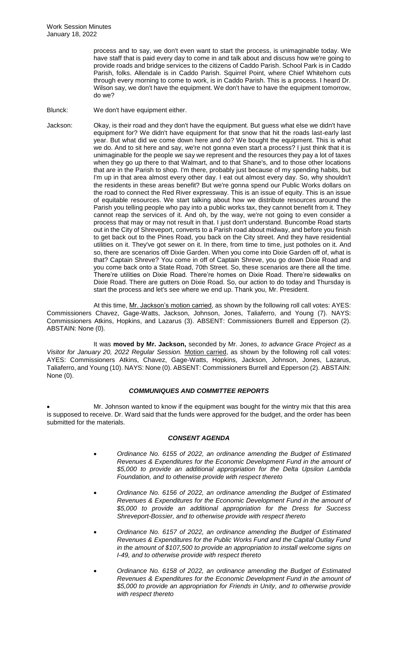process and to say, we don't even want to start the process, is unimaginable today. We have staff that is paid every day to come in and talk about and discuss how we're going to provide roads and bridge services to the citizens of Caddo Parish. School Park is in Caddo Parish, folks. Allendale is in Caddo Parish. Squirrel Point, where Chief Whitehorn cuts through every morning to come to work, is in Caddo Parish. This is a process. I heard Dr. Wilson say, we don't have the equipment. We don't have to have the equipment tomorrow, do we?

Blunck: We don't have equipment either.

Jackson: Okay, is their road and they don't have the equipment. But guess what else we didn't have equipment for? We didn't have equipment for that snow that hit the roads last-early last year. But what did we come down here and do? We bought the equipment. This is what we do. And to sit here and say, we're not gonna even start a process? I just think that it is unimaginable for the people we say we represent and the resources they pay a lot of taxes when they go up there to that Walmart, and to that Shane's, and to those other locations that are in the Parish to shop. I'm there, probably just because of my spending habits, but I'm up in that area almost every other day. I eat out almost every day. So, why shouldn't the residents in these areas benefit? But we're gonna spend our Public Works dollars on the road to connect the Red River expressway. This is an issue of equity. This is an issue of equitable resources. We start talking about how we distribute resources around the Parish you telling people who pay into a public works tax, they cannot benefit from it. They cannot reap the services of it. And oh, by the way, we're not going to even consider a process that may or may not result in that. I just don't understand. Buncombe Road starts out in the City of Shreveport, converts to a Parish road about midway, and before you finish to get back out to the Pines Road, you back on the City street. And they have residential utilities on it. They've got sewer on it. In there, from time to time, just potholes on it. And so, there are scenarios off Dixie Garden. When you come into Dixie Garden off of, what is that? Captain Shreve? You come in off of Captain Shreve, you go down Dixie Road and you come back onto a State Road, 70th Street. So, these scenarios are there all the time. There're utilities on Dixie Road. There're homes on Dixie Road. There're sidewalks on Dixie Road. There are gutters on Dixie Road. So, our action to do today and Thursday is start the process and let's see where we end up. Thank you, Mr. President.

At this time, Mr. Jackson's motion carried, as shown by the following roll call votes: AYES: Commissioners Chavez, Gage-Watts, Jackson, Johnson, Jones, Taliaferro, and Young (7). NAYS: Commissioners Atkins, Hopkins, and Lazarus (3). ABSENT: Commissioners Burrell and Epperson (2). ABSTAIN: None (0).

It was **moved by Mr. Jackson,** seconded by Mr. Jones, *to advance Grace Project as a Visitor for January 20, 2022 Regular Session.* Motion carried, as shown by the following roll call votes: AYES: Commissioners Atkins, Chavez, Gage-Watts, Hopkins, Jackson, Johnson, Jones, Lazarus, Taliaferro, and Young (10). NAYS: None (0). ABSENT: Commissioners Burrell and Epperson (2). ABSTAIN: None (0).

## *COMMUNIQUES AND COMMITTEE REPORTS*

Mr. Johnson wanted to know if the equipment was bought for the wintry mix that this area is supposed to receive. Dr. Ward said that the funds were approved for the budget, and the order has been submitted for the materials.

## *CONSENT AGENDA*

- *Ordinance No. 6155 of 2022, an ordinance amending the Budget of Estimated Revenues & Expenditures for the Economic Development Fund in the amount of \$5,000 to provide an additional appropriation for the Delta Upsilon Lambda Foundation, and to otherwise provide with respect thereto*
- *Ordinance No. 6156 of 2022, an ordinance amending the Budget of Estimated Revenues & Expenditures for the Economic Development Fund in the amount of \$5,000 to provide an additional appropriation for the Dress for Success Shreveport-Bossier, and to otherwise provide with respect thereto*
- *Ordinance No. 6157 of 2022, an ordinance amending the Budget of Estimated Revenues & Expenditures for the Public Works Fund and the Capital Outlay Fund in the amount of \$107,500 to provide an appropriation to install welcome signs on I-49, and to otherwise provide with respect thereto*
- *Ordinance No. 6158 of 2022, an ordinance amending the Budget of Estimated Revenues & Expenditures for the Economic Development Fund in the amount of \$5,000 to provide an appropriation for Friends in Unity, and to otherwise provide with respect thereto*